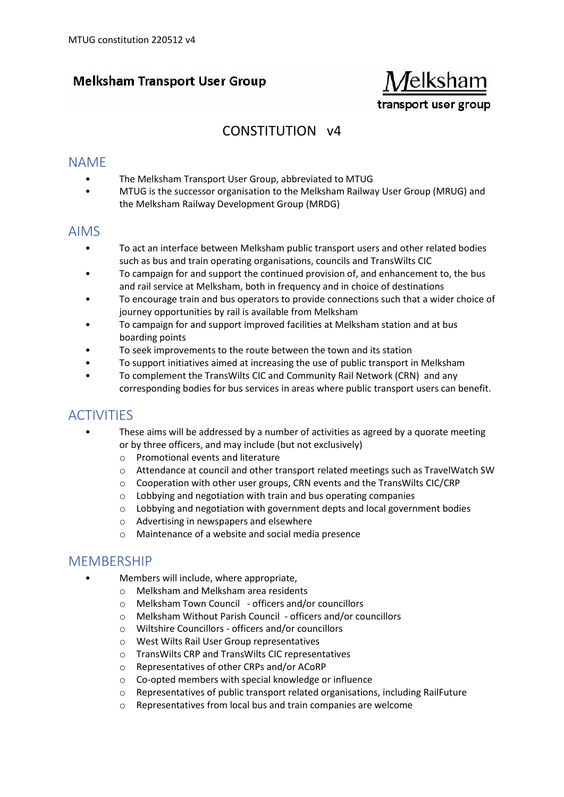## **Melksham Transport User Group**



# CONSTITUTION v4

### NAME

- The Melksham Transport User Group, abbreviated to MTUG
- MTUG is the successor organisation to the Melksham Railway User Group (MRUG) and the Melksham Railway Development Group (MRDG)

#### AIMS

- To act an interface between Melksham public transport users and other related bodies such as bus and train operating organisations, councils and TransWilts CIC
- To campaign for and support the continued provision of, and enhancement to, the bus and rail service at Melksham, both in frequency and in choice of destinations
- To encourage train and bus operators to provide connections such that a wider choice of journey opportunities by rail is available from Melksham
- To campaign for and support improved facilities at Melksham station and at bus boarding points
- To seek improvements to the route between the town and its station
- To support initiatives aimed at increasing the use of public transport in Melksham
- To complement the TransWilts CIC and Community Rail Network (CRN) and any corresponding bodies for bus services in areas where public transport users can benefit.

## ACTIVITIES

- These aims will be addressed by a number of activities as agreed by a quorate meeting or by three officers, and may include (but not exclusively)
	- o Promotional events and literature
	- o Attendance at council and other transport related meetings such as TravelWatch SW
	- o Cooperation with other user groups, CRN events and the TransWilts CIC/CRP
	- o Lobbying and negotiation with train and bus operating companies
	- $\circ$  Lobbying and negotiation with government depts and local government bodies
	- o Advertising in newspapers and elsewhere
	- o Maintenance of a website and social media presence

### MEMBERSHIP

- Members will include, where appropriate,
	- o Melksham and Melksham area residents
	- o Melksham Town Council officers and/or councillors
	- o Melksham Without Parish Council officers and/or councillors
	- o Wiltshire Councillors officers and/or councillors
	- o West Wilts Rail User Group representatives
	- o TransWilts CRP and TransWilts CIC representatives
	- o Representatives of other CRPs and/or ACoRP
	- o Co-opted members with special knowledge or influence
	- o Representatives of public transport related organisations, including RailFuture
	- o Representatives from local bus and train companies are welcome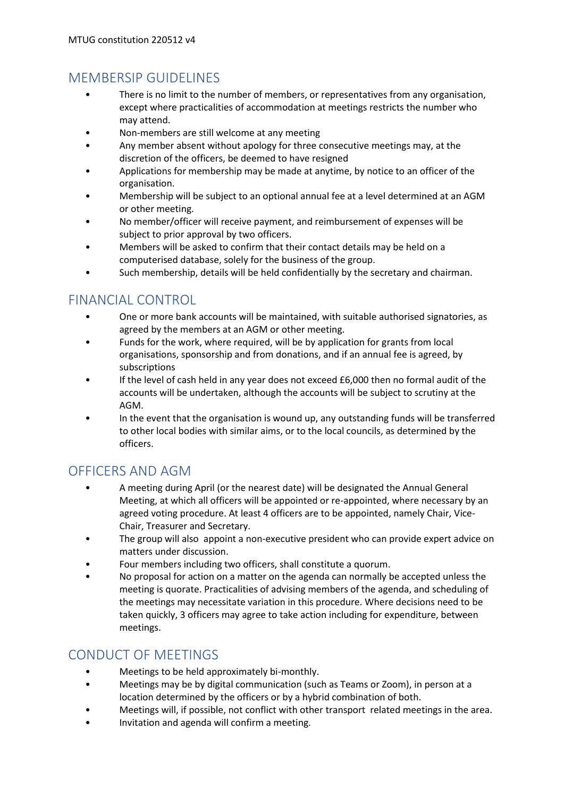# MEMBERSIP GUIDELINES

- There is no limit to the number of members, or representatives from any organisation, except where practicalities of accommodation at meetings restricts the number who may attend.
- Non-members are still welcome at any meeting
- Any member absent without apology for three consecutive meetings may, at the discretion of the officers, be deemed to have resigned
- Applications for membership may be made at anytime, by notice to an officer of the organisation.
- Membership will be subject to an optional annual fee at a level determined at an AGM or other meeting.
- No member/officer will receive payment, and reimbursement of expenses will be subject to prior approval by two officers.
- Members will be asked to confirm that their contact details may be held on a computerised database, solely for the business of the group.
- Such membership, details will be held confidentially by the secretary and chairman.

## FINANCIAL CONTROL

- One or more bank accounts will be maintained, with suitable authorised signatories, as agreed by the members at an AGM or other meeting.
- Funds for the work, where required, will be by application for grants from local organisations, sponsorship and from donations, and if an annual fee is agreed, by subscriptions
- If the level of cash held in any year does not exceed £6,000 then no formal audit of the accounts will be undertaken, although the accounts will be subject to scrutiny at the AGM.
- In the event that the organisation is wound up, any outstanding funds will be transferred to other local bodies with similar aims, or to the local councils, as determined by the officers.

# OFFICERS AND AGM

- A meeting during April (or the nearest date) will be designated the Annual General Meeting, at which all officers will be appointed or re-appointed, where necessary by an agreed voting procedure. At least 4 officers are to be appointed, namely Chair, Vice-Chair, Treasurer and Secretary.
- The group will also appoint a non-executive president who can provide expert advice on matters under discussion.
- Four members including two officers, shall constitute a quorum.
- No proposal for action on a matter on the agenda can normally be accepted unless the meeting is quorate. Practicalities of advising members of the agenda, and scheduling of the meetings may necessitate variation in this procedure. Where decisions need to be taken quickly, 3 officers may agree to take action including for expenditure, between meetings.

## CONDUCT OF MEETINGS

- Meetings to be held approximately bi-monthly.
- Meetings may be by digital communication (such as Teams or Zoom), in person at a location determined by the officers or by a hybrid combination of both.
- Meetings will, if possible, not conflict with other transport related meetings in the area.
- Invitation and agenda will confirm a meeting.